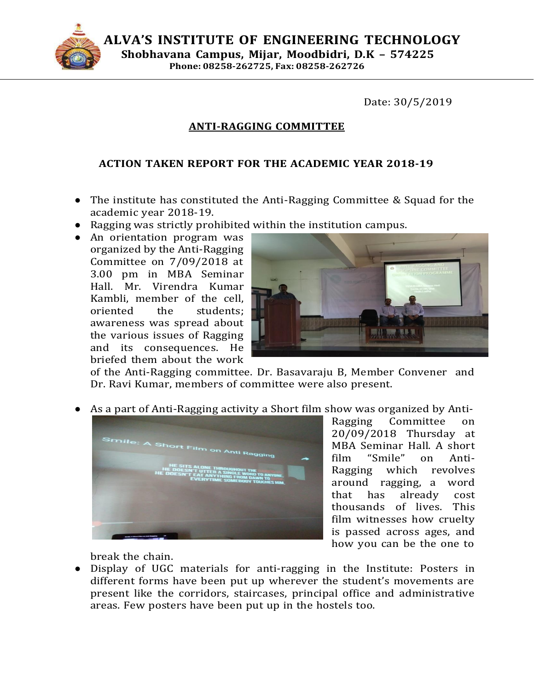

**ALVA'S INSTITUTE OF ENGINEERING TECHNOLOGY Shobhavana Campus, Mijar, Moodbidri, D.K – 574225 Phone: 08258-262725, Fax: 08258-262726**

Date: 30/5/2019

## **ANTI-RAGGING COMMITTEE**

## **ACTION TAKEN REPORT FOR THE ACADEMIC YEAR 2018-19**

- The institute has constituted the Anti-Ragging Committee & Squad for the academic year 2018-19.
- Ragging was strictly prohibited within the institution campus.
- An orientation program was organized by the Anti-Ragging Committee on 7/09/2018 at 3.00 pm in MBA Seminar Hall. Mr. Virendra Kumar Kambli, member of the cell, oriented the students; awareness was spread about the various issues of Ragging and its consequences. He briefed them about the work



of the Anti-Ragging committee. Dr. Basavaraju B, Member Convener and Dr. Ravi Kumar, members of committee were also present.

As a part of Anti-Ragging activity a Short film show was organized by Anti-



Ragging Committee on 20/09/2018 Thursday at MBA Seminar Hall. A short film "Smile" on Anti-Ragging which revolves around ragging, a word that has already cost thousands of lives. This film witnesses how cruelty is passed across ages, and how you can be the one to

break the chain.

● Display of UGC materials for anti-ragging in the Institute: Posters in different forms have been put up wherever the student's movements are present like the corridors, staircases, principal office and administrative areas. Few posters have been put up in the hostels too.